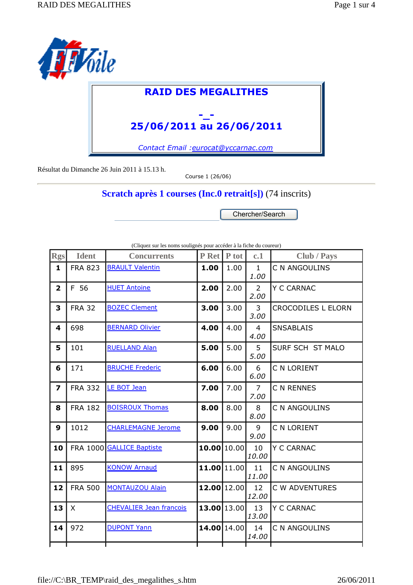

## **RAID DES MEGALITHES**

## **-\_- 25/06/2011 au 26/06/2011**

*Contact Email :eurocat@yccarnac.com*

Résultat du Dimanche 26 Juin 2011 à 15.13 h.

Course 1 (26/06)

**Scratch après 1 courses (Inc.0 retrait[s])** (74 inscrits)

Chercher/Search

| Rgs                     | <b>Ident</b>   | <b>Concurrents</b>             | P Ret P tot |      | c.1                    | Club / Pays               |
|-------------------------|----------------|--------------------------------|-------------|------|------------------------|---------------------------|
| $\mathbf{1}$            | <b>FRA 823</b> | <b>BRAULT Valentin</b>         | 1.00        | 1.00 | $\mathbf{1}$<br>1.00   | C N ANGOULINS             |
| $\overline{\mathbf{2}}$ | F 56           | <b>HUET Antoine</b>            | 2.00        | 2.00 | $\overline{2}$<br>2.00 | Y C CARNAC                |
| 3                       | <b>FRA 32</b>  | <b>BOZEC Clement</b>           | 3.00        | 3.00 | 3<br>3.00              | <b>CROCODILES L ELORN</b> |
| 4                       | 698            | <b>BERNARD Olivier</b>         | 4.00        | 4.00 | $\overline{4}$<br>4.00 | <b>SNSABLAIS</b>          |
| 5                       | 101            | <b>RUELLAND Alan</b>           | 5.00        | 5.00 | 5 <sup>1</sup><br>5.00 | SURF SCH ST MALO          |
| 6                       | 171            | <b>BRUCHE Frederic</b>         | 6.00        | 6.00 | 6<br>6.00              | C N LORIENT               |
| $\overline{\mathbf{z}}$ | <b>FRA 332</b> | <b>LE BOT Jean</b>             | 7.00        | 7.00 | $\overline{7}$<br>7.00 | C N RENNES                |
| 8                       | <b>FRA 182</b> | <b>BOISROUX Thomas</b>         | 8.00        | 8.00 | 8<br>8.00              | C N ANGOULINS             |
| 9                       | 1012           | <b>CHARLEMAGNE Jerome</b>      | 9.00        | 9.00 | 9<br>9.00              | C N LORIENT               |
| 10                      |                | FRA 1000 GALLICE Baptiste      | 10.00 10.00 |      | 10<br>10.00            | Y C CARNAC                |
| 11                      | 895            | <b>KONOW Arnaud</b>            | 11.00 11.00 |      | 11<br>11.00            | C N ANGOULINS             |
| 12                      | <b>FRA 500</b> | <b>MONTAUZOU Alain</b>         | 12.00 12.00 |      | 12<br>12.00            | C W ADVENTURES            |
| 13                      | $\mathsf{X}$   | <b>CHEVALIER Jean francois</b> | 13.00 13.00 |      | 13<br>13.00            | Y C CARNAC                |
| 14                      | 972            | <b>DUPONT Yann</b>             | 14.00 14.00 |      | 14<br>14.00            | C N ANGOULINS             |
|                         |                |                                |             |      |                        |                           |

(Cliquez sur les noms soulignés pour accéder à la fiche du coureur)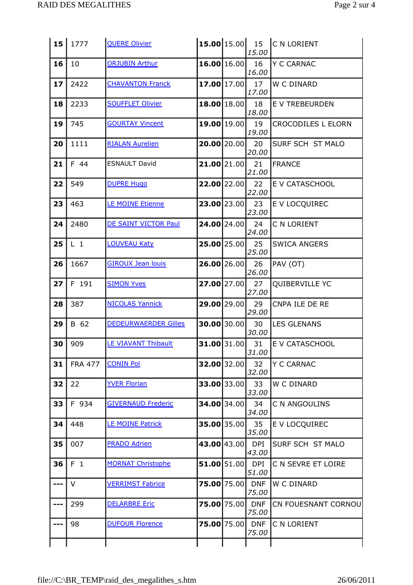| 15 <sub>1</sub> | 1777           | <b>QUERE Olivier</b>        |                |                | 15.00               | <b>15.00</b> 15.00 15 C N LORIENT |
|-----------------|----------------|-----------------------------|----------------|----------------|---------------------|-----------------------------------|
| 16              | 10             | <b>ORJUBIN Arthur</b>       |                | 16.00 16.00    | 16<br>16.00         | Y C CARNAC                        |
| 17              | 2422           | <b>CHAVANTON Franck</b>     | $17.00$ 17.00  |                | 17<br>17.00         | W C DINARD                        |
| 18              | 2233           | <b>SOUFFLET Olivier</b>     |                | 18.00 18.00    | 18<br>18.00         | E V TREBEURDEN                    |
| 19              | 745            | <b>GOURTAY Vincent</b>      | 19.00 19.00    |                | 19<br>19.00         | <b>CROCODILES L ELORN</b>         |
| 20              | 1111           | <b>RIALAN Aurelien</b>      | $20.00$  20.00 |                | 20<br>20.00         | SURF SCH ST MALO                  |
| 21              | F 44           | <b>ESNAULT David</b>        |                | $21.00$  21.00 | 21<br>21.00         | <b>FRANCE</b>                     |
| 22              | 549            | <b>DUPRE Hugo</b>           |                | $22.00$  22.00 | 22<br>22.00         | E V CATASCHOOL                    |
| 23              | 463            | <b>LE MOINE Etienne</b>     | 23.00 23.00    |                | 23<br>23.00         | E V LOCQUIREC                     |
| 24              | 2480           | DE SAINT VICTOR Paul        | $24.00$ 24.00  |                | 24<br>24.00         | C N LORIENT                       |
| 25              | $L_1$          | <b>LOUVEAU Katy</b>         |                | $25.00$  25.00 | 25<br>25.00         | <b>SWICA ANGERS</b>               |
| 26              | 1667           | <b>GIROUX Jean louis</b>    |                | $26.00$ 26.00  | 26<br>26.00         | PAV (OT)                          |
| 27              | F 191          | <b>SIMON Yves</b>           |                | $27.00$ 27.00  | 27<br>27.00         | QUIBERVILLE YC                    |
| 28              | 387            | <b>NICOLAS Yannick</b>      |                | 29.00 29.00    | 29<br>29.00         | CNPA ILE DE RE                    |
| 29              | B 62           | <b>DEDEURWAERDER Gilles</b> | 30.00 30.00    |                | 30<br>30.00         | <b>LES GLENANS</b>                |
| 30              | 909            | <b>LE VIAVANT Thibault</b>  | 31.00 31.00    |                | 31<br>31.00         | E V CATASCHOOL                    |
| 31              | <b>FRA 477</b> | <b>CONIN Pol</b>            | 32.00 32.00    |                | 32<br>32.00         | <b>Y C CARNAC</b>                 |
| 32              | 22             | <b>YVER Florian</b>         |                | 33.00 33.00    | 33<br>33.00         | W C DINARD                        |
| 33              | F 934          | <b>GIVERNAUD Frederic</b>   | 34.00 34.00    |                | 34<br>34.00         | C N ANGOULINS                     |
| 34              | 448            | <b>LE MOINE Patrick</b>     |                | $35.00$ 35.00  | 35<br>35.00         | E V LOCQUIREC                     |
| 35              | 007            | <b>PRADO Adrien</b>         | 43.00 43.00    |                | <b>DPI</b><br>43.00 | SURF SCH ST MALO                  |
| 36              | F <sub>1</sub> | <b>MORNAT Christophe</b>    |                | 51.00 51.00    | <b>DPI</b><br>51.00 | C N SEVRE ET LOIRE                |
| ---             | V              | <b>VERRIMST Fabrice</b>     | $75.00$ 75.00  |                | l DNF<br>75.00      | W C DINARD                        |
| ---             | 299            | <b>DELARBRE Eric</b>        | 75.00 75.00    |                | <b>DNF</b><br>75.00 | CN FOUESNANT CORNOU               |
| ---             | 98             | <b>DUFOUR Florence</b>      | 75.00 75.00    |                | <b>DNF</b><br>75.00 | C N LORIENT                       |
|                 |                |                             |                |                |                     |                                   |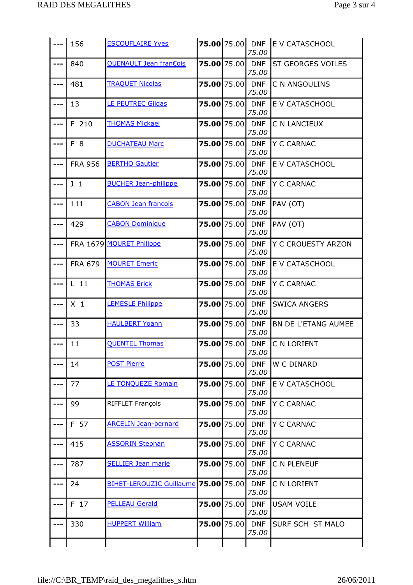|     | 156            | <b>ESCOUFLAIRE Yves</b>              |                    | 75.00                    | 75.00 75.00 DNF E V CATASCHOOL |
|-----|----------------|--------------------------------------|--------------------|--------------------------|--------------------------------|
| --- | 840            | QUENAULT Jean fran€ois               | 75.00 75.00 DNF    | 75.00                    | ST GEORGES VOILES              |
| --- | 481            | <b>TRAQUET Nicolas</b>               | <b>75.00</b> 75.00 | <b>DNF</b><br>75.00      | C N ANGOULINS                  |
| --- | 13             | <b>LE PEUTREC Gildas</b>             | $75.00$ 75.00      | <b>DNF</b><br>75.00      | E V CATASCHOOL                 |
| --- | F 210          | <b>THOMAS Mickael</b>                | $75.00$ 75.00      | <b>DNF</b><br>75.00      | C N LANCIEUX                   |
| --- | F 8            | <b>DUCHATEAU Marc</b>                | 75.00 75.00        | <b>DNF</b><br>75.00      | Y C CARNAC                     |
| --- | <b>FRA 956</b> | <b>BERTHO Gautier</b>                | 75.00 75.00 DNF    | 75.00                    | E V CATASCHOOL                 |
| --- | J <sub>1</sub> | <b>BUCHER Jean-philippe</b>          | 75.00 75.00 DNF    | 75.00                    | Y C CARNAC                     |
| --- | 111            | <b>CABON Jean francois</b>           | $75.00$ 75.00      | <b>DNF</b><br>75.00      | PAV (OT)                       |
| --- | 429            | <b>CABON Dominique</b>               | <b>75.00</b> 75.00 | <b>DNF</b><br>75.00      | PAV (OT)                       |
| --- |                | FRA 1679 MOURET Philippe             | 75.00 75.00        | <b>DNF</b><br>75.00      | Y C CROUESTY ARZON             |
| --- | <b>FRA 679</b> | <b>MOURET Emeric</b>                 | $75.00$ 75.00      | <b>DNF</b><br>75.00      | E V CATASCHOOL                 |
| --- | $L$ 11         | <b>THOMAS Erick</b>                  | $75.00$ 75.00      | <b>DNF</b><br>75.00      | Y C CARNAC                     |
| --- | $X_1$          | <b>LEMESLE Philippe</b>              | $75.00$ 75.00      | <b>DNF</b><br>75.00      | <b>SWICA ANGERS</b>            |
| --- | 33             | <b>HAULBERT Yoann</b>                | <b>75.00</b> 75.00 | <b>DNF</b><br>75.00      | <b>BN DE L'ETANG AUMEE</b>     |
|     | 11             | <b>QUENTEL Thomas</b>                |                    | 75.00 75.00 DNF<br>75.00 | C N LORIENT                    |
| --- | 14             | <b>POST Pierre</b>                   | 75.00 75.00        | <b>DNF</b><br>75.00      | W C DINARD                     |
| --- | 77             | <b>LE TONQUEZE Romain</b>            | <b>75.00</b> 75.00 | <b>DNF</b><br>75.00      | E V CATASCHOOL                 |
| --- | 99             | <b>RIFFLET François</b>              | 75.00 75.00        | <b>DNF</b><br>75.00      | Y C CARNAC                     |
| --- | F 57           | <b>ARCELIN Jean-bernard</b>          | 75.00 75.00        | <b>DNF</b><br>75.00      | Y C CARNAC                     |
| --- | 415            | <b>ASSORIN Stephan</b>               | 75.00 75.00        | <b>DNF</b><br>75.00      | Y C CARNAC                     |
| --- | 787            | <b>SELLIER Jean marie</b>            | 75.00 75.00        | <b>DNF</b><br>75.00      | C N PLENEUF                    |
| --- | 24             | BIHET-LEROUZIC Guillaume 75.00 75.00 |                    | <b>DNF</b><br>75.00      | C N LORIENT                    |
| --- | F 17           | <b>PELLEAU Gerald</b>                | 75.00 75.00        | <b>DNF</b><br>75.00      | <b>USAM VOILE</b>              |
|     | 330            | <b>HUPPERT William</b>               | 75.00 75.00        | <b>DNF</b><br>75.00      | SURF SCH ST MALO               |
|     |                |                                      |                    |                          |                                |